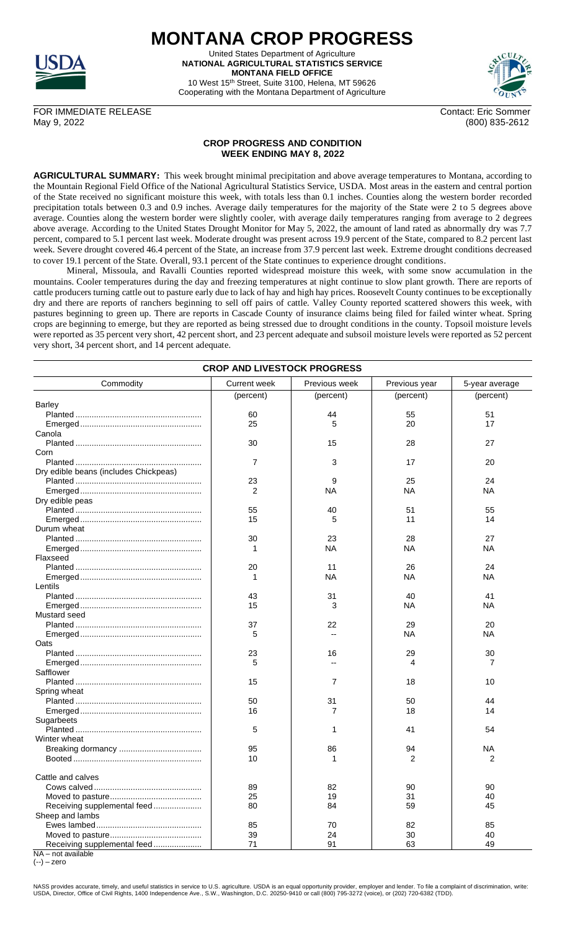

**MONTANA CROP PROGRESS** United States Department of Agriculture **NATIONAL AGRICULTURAL STATISTICS SERVICE**

**MONTANA FIELD OFFICE** 10 West 15th Street, Suite 3100, Helena, MT 59626 Cooperating with the Montana Department of Agriculture



(800) 835-2612

FOR IMMEDIATE RELEASE Contact: Eric Sommer<br>May 9, 2022 (800) 835-2612

## **CROP PROGRESS AND CONDITION WEEK ENDING MAY 8, 2022**

**AGRICULTURAL SUMMARY:** This week brought minimal precipitation and above average temperatures to Montana, according to the Mountain Regional Field Office of the National Agricultural Statistics Service, USDA. Most areas in the eastern and central portion of the State received no significant moisture this week, with totals less than 0.1 inches. Counties along the western border recorded precipitation totals between 0.3 and 0.9 inches. Average daily temperatures for the majority of the State were 2 to 5 degrees above average. Counties along the western border were slightly cooler, with average daily temperatures ranging from average to 2 degrees above average. According to the United States Drought Monitor for May 5, 2022, the amount of land rated as abnormally dry was 7.7 percent, compared to 5.1 percent last week. Moderate drought was present across 19.9 percent of the State, compared to 8.2 percent last week. Severe drought covered 46.4 percent of the State, an increase from 37.9 percent last week. Extreme drought conditions decreased to cover 19.1 percent of the State. Overall, 93.1 percent of the State continues to experience drought conditions.

Mineral, Missoula, and Ravalli Counties reported widespread moisture this week, with some snow accumulation in the mountains. Cooler temperatures during the day and freezing temperatures at night continue to slow plant growth. There are reports of cattle producers turning cattle out to pasture early due to lack of hay and high hay prices. Roosevelt County continues to be exceptionally dry and there are reports of ranchers beginning to sell off pairs of cattle. Valley County reported scattered showers this week, with pastures beginning to green up. There are reports in Cascade County of insurance claims being filed for failed winter wheat. Spring crops are beginning to emerge, but they are reported as being stressed due to drought conditions in the county. Topsoil moisture levels were reported as 35 percent very short, 42 percent short, and 23 percent adequate and subsoil moisture levels were reported as 52 percent very short, 34 percent short, and 14 percent adequate.

| <b>CROP AND LIVESTOCK PROGRESS</b>                |                     |               |                 |                |  |  |
|---------------------------------------------------|---------------------|---------------|-----------------|----------------|--|--|
| Commodity                                         | <b>Current week</b> | Previous week | Previous year   | 5-year average |  |  |
|                                                   | (percent)           | (percent)     | (percent)       | (percent)      |  |  |
| <b>Barley</b>                                     |                     |               |                 |                |  |  |
|                                                   | 60                  | 44            | 55              | 51             |  |  |
|                                                   | 25                  | 5             | 20              | 17             |  |  |
| Canola                                            |                     |               |                 |                |  |  |
|                                                   | 30                  | 15            | 28              | 27             |  |  |
| Corn                                              |                     |               |                 |                |  |  |
|                                                   | 7                   | 3             | 17              | 20             |  |  |
| Dry edible beans (includes Chickpeas)             |                     |               |                 |                |  |  |
|                                                   | 23                  | 9             | 25              | 24             |  |  |
|                                                   | 2                   | NA            | NA              | ΝA             |  |  |
| Dry edible peas                                   |                     |               |                 |                |  |  |
|                                                   | 55                  | 40            | 51              | 55             |  |  |
|                                                   | 15                  | 5             | 11              | 14             |  |  |
| Durum wheat                                       |                     |               |                 |                |  |  |
|                                                   | 30                  | 23            | 28              | 27             |  |  |
|                                                   |                     | <b>NA</b>     | <b>NA</b>       | NA             |  |  |
| Flaxseed                                          |                     |               |                 |                |  |  |
|                                                   | 20                  | 11            | 26              | 24             |  |  |
|                                                   |                     | NA            | ΝA              | ΝA             |  |  |
| Lentils                                           |                     |               |                 |                |  |  |
|                                                   | 43                  | 31            | 40              | 41             |  |  |
|                                                   | 15                  | 3             | NA              | ΝA             |  |  |
| Mustard seed                                      |                     |               |                 |                |  |  |
|                                                   | 37                  | 22            |                 | 20             |  |  |
|                                                   | 5                   |               | 29<br><b>NA</b> | NA             |  |  |
|                                                   |                     |               |                 |                |  |  |
| Oats                                              |                     |               |                 |                |  |  |
|                                                   | 23                  | 16            | 29              | 30             |  |  |
|                                                   | 5                   |               | 4               | 7              |  |  |
| Safflower                                         |                     |               |                 |                |  |  |
|                                                   | 15                  | 7             | 18              | 10             |  |  |
| Spring wheat                                      |                     |               |                 |                |  |  |
|                                                   | 50                  | 31            | 50              | 44             |  |  |
|                                                   | 16                  | 7             | 18              | 14             |  |  |
| Sugarbeets                                        |                     |               |                 |                |  |  |
|                                                   | 5                   | 1             | 41              | 54             |  |  |
| Winter wheat                                      |                     |               |                 |                |  |  |
|                                                   | 95                  | 86            | 94              | NA             |  |  |
|                                                   | 10                  | 1             | 2               | 2              |  |  |
| Cattle and calves                                 |                     |               |                 |                |  |  |
|                                                   | 89                  | 82            | 90              | 90             |  |  |
|                                                   | 25                  | 19            | 31              | 40             |  |  |
|                                                   | 80                  | 84            | 59              | 45             |  |  |
| Receiving supplemental feed                       |                     |               |                 |                |  |  |
| Sheep and lambs                                   |                     |               |                 |                |  |  |
|                                                   | 85                  | 70            | 82              | 85             |  |  |
|                                                   | 39                  | 24            | 30              | 40             |  |  |
| Receiving supplemental feed<br>NA - not available | 71                  | 91            | 63              | 49             |  |  |

 $(-) -$ zero

NASS provides accurate, timely, and useful statistics in service to U.S. agriculture. USDA is an equal opportunity provider, employer and lender. To file a complaint of discrimination, write:<br>USDA, Director, Office of Civi